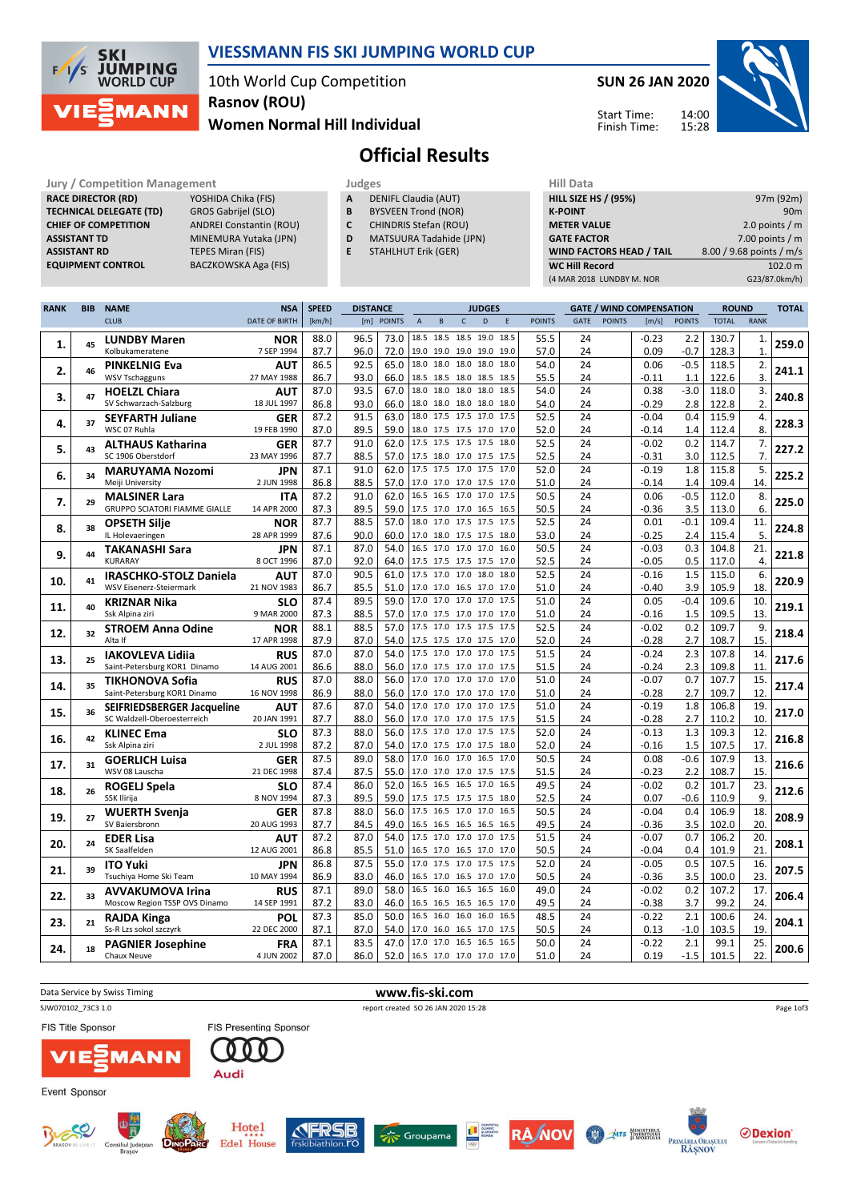

### VIESSMANN FIS SKI JUMPING WORLD CUP

10th World Cup Competition Women Normal Hill Individual Rasnov (ROU)

SUN 26 JAN 2020

Start Time: Finish Time:



# Official Results

RACE DIRECTOR (RD) TECHNICAL DELEGATE (TD) GROS Gabrijel (SLO)<br>CHIEF OF COMPETITION ANDREI Constantin ( **ASSISTANT RD** TEPES Miran (FIS)<br> **EQUIPMENT CONTROL** BACZKOWSKA Aga

Jury / Competition Management<br> **RACE DIRECTOR (RD)** YOSHIDA Chika (FIS) **A DENIFL Claudia (AUT)** HILL SIZE HILL SIZE ANDREI Constantin (ROU) ASSISTANT TD MINEMURA Yutaka (JPN) BACZKOWSKA Aga (FIS)

A DENIFL Claudia (AUT)

- **B** BYSVEEN Trond (NOR)<br>**C** CHINDRIS Stefan (ROU
- CHINDRIS Stefan (ROU)
- D MATSUURA Tadahide (JPN)
- E STAHLHUT Erik (GER)

| 97m (92m)                |
|--------------------------|
| 90m                      |
| 2.0 points $/m$          |
| 7.00 points $/m$         |
| 8.00 / 9.68 points / m/s |
| 102.0 m                  |
| G23/87.0km/h)            |
|                          |

| <b>RANK</b> | <b>BIB</b> | <b>NAME</b>                          | <b>NSA</b>           | <b>SPEED</b> | <b>DISTANCE</b> |                               | <b>JUDGES</b>            |                     |              |                          |             | <b>GATE / WIND COMPENSATION</b> |             |               | <b>ROUND</b> |               | <b>TOTAL</b> |                |       |
|-------------|------------|--------------------------------------|----------------------|--------------|-----------------|-------------------------------|--------------------------|---------------------|--------------|--------------------------|-------------|---------------------------------|-------------|---------------|--------------|---------------|--------------|----------------|-------|
|             |            | <b>CLUB</b>                          | <b>DATE OF BIRTH</b> | [km/h]       |                 | [m] POINTS                    | $\mathsf A$              | $\sf{B}$            | $\mathsf{C}$ | D                        | $\mathsf E$ | <b>POINTS</b>                   | <b>GATE</b> | <b>POINTS</b> | [m/s]        | <b>POINTS</b> | <b>TOTAL</b> | <b>RANK</b>    |       |
|             |            | <b>LUNDBY Maren</b>                  | <b>NOR</b>           | 88.0         | 96.5            | 73.0                          | 18.5 18.5 18.5 19.0      |                     |              |                          | 18.5        | 55.5                            | 24          |               | $-0.23$      | 2.2           | 130.7        | 1.             |       |
| 1.          | 45         | Kolbukameratene                      | 7 SEP 1994           | 87.7         | 96.0            | 72.0                          |                          | 19.0 19.0 19.0 19.0 |              |                          | 19.0        | 57.0                            | 24          |               | 0.09         | $-0.7$        | 128.3        | $\mathbf{1}$   | 259.0 |
|             |            | <b>PINKELNIG Eva</b>                 | AUT                  | 86.5         | 92.5            | 65.0                          |                          | 18.0 18.0 18.0 18.0 |              |                          | 18.0        | 54.0                            | 24          |               | 0.06         | $-0.5$        | 118.5        | 2.             |       |
| 2.          | 46         | <b>WSV Tschagguns</b>                | 27 MAY 1988          | 86.7         | 93.0            | 66.0                          |                          |                     |              | 18.5 18.5 18.0 18.5 18.5 |             | 55.5                            | 24          |               | $-0.11$      | 1.1           | 122.6        | 3.             | 241.1 |
|             |            | <b>HOELZL Chiara</b>                 | <b>AUT</b>           | 87.0         | 93.5            | 67.0                          |                          | 18.0 18.0 18.0 18.0 |              |                          | 18.5        | 54.0                            | 24          |               | 0.38         | $-3.0$        | 118.0        | 3.             |       |
| 3.          | 47         | SV Schwarzach-Salzburg               | 18 JUL 1997          | 86.8         | 93.0            | 66.0                          |                          |                     |              | 18.0 18.0 18.0 18.0 18.0 |             | 54.0                            | 24          |               | $-0.29$      | 2.8           | 122.8        | 2.             | 240.8 |
|             |            | <b>SEYFARTH Juliane</b>              | <b>GER</b>           | 87.2         | 91.5            | 63.0                          |                          |                     |              | 18.0 17.5 17.5 17.0 17.5 |             | 52.5                            | 24          |               | $-0.04$      | 0.4           | 115.9        | 4.             |       |
| 4.          | 37         | WSC 07 Ruhla                         | 19 FEB 1990          | 87.0         | 89.5            | 59.0                          |                          |                     |              | 18.0 17.5 17.5 17.0 17.0 |             | 52.0                            | 24          |               | $-0.14$      | 1.4           | 112.4        | 8.             | 228.3 |
|             |            | <b>ALTHAUS Katharina</b>             | <b>GER</b>           | 87.7         | 91.0            | 62.0                          |                          |                     |              | 17.5 17.5 17.5 17.5 18.0 |             | 52.5                            | 24          |               | $-0.02$      | 0.2           | 114.7        | 7.             |       |
| 5.          | 43         | SC 1906 Oberstdorf                   | 23 MAY 1996          | 87.7         | 88.5            | 57.0                          |                          |                     |              | 17.5 18.0 17.0 17.5 17.5 |             | 52.5                            | 24          |               | $-0.31$      | 3.0           | 112.5        | $\overline{7}$ | 227.2 |
|             |            | <b>MARUYAMA Nozomi</b>               | <b>JPN</b>           | 87.1         | 91.0            | 62.0                          |                          |                     |              | 17.5 17.5 17.0 17.5 17.0 |             | 52.0                            | 24          |               | $-0.19$      | 1.8           | 115.8        | 5.             |       |
| 6.          | 34         | Meiji University                     | 2 JUN 1998           | 86.8         | 88.5            | 57.0                          |                          |                     |              | 17.0 17.0 17.0 17.5 17.0 |             | 51.0                            | 24          |               | $-0.14$      | 1.4           | 109.4        | 14.            | 225.2 |
|             |            | <b>MALSINER Lara</b>                 | <b>ITA</b>           | 87.2         | 91.0            | 62.0                          |                          |                     |              | 16.5 16.5 17.0 17.0 17.5 |             | 50.5                            | 24          |               | 0.06         | $-0.5$        | 112.0        | 8.             |       |
| 7.          | 29         | <b>GRUPPO SCIATORI FIAMME GIALLE</b> | 14 APR 2000          | 87.3         | 89.5            | 59.0                          |                          |                     |              | 17.5 17.0 17.0 16.5 16.5 |             | 50.5                            | 24          |               | $-0.36$      | 3.5           | 113.0        | 6.             | 225.0 |
|             |            | <b>OPSETH Silie</b>                  | <b>NOR</b>           | 87.7         | 88.5            | 57.0                          |                          |                     |              | 18.0 17.0 17.5 17.5 17.5 |             | 52.5                            | 24          |               | 0.01         | $-0.1$        | 109.4        | 11.            |       |
| 8.          | 38         | IL Holevaeringen                     | 28 APR 1999          | 87.6         | 90.0            | 60.0                          |                          |                     |              | 17.0 18.0 17.5 17.5 18.0 |             | 53.0                            | 24          |               | $-0.25$      | 2.4           | 115.4        | 5.             | 224.8 |
|             |            | <b>TAKANASHI Sara</b>                | <b>JPN</b>           | 87.1         | 87.0            | 54.0                          | 16.5 17.0 17.0 17.0      |                     |              |                          | 16.0        | 50.5                            | 24          |               | $-0.03$      | 0.3           | 104.8        | 21.            |       |
| 9.          | 44         | <b>KURARAY</b>                       | 8 OCT 1996           | 87.0         | 92.0            | 64.0                          | 17.5 17.5 17.5 17.5 17.0 |                     |              |                          |             | 52.5                            | 24          |               | $-0.05$      | 0.5           | 117.0        | 4.             | 221.8 |
|             |            | <b>IRASCHKO-STOLZ Daniela</b>        | AUT                  | 87.0         | 90.5            | 61.0                          | 17.5 17.0 17.0 18.0      |                     |              |                          | 18.0        | 52.5                            | 24          |               | $-0.16$      | 1.5           | 115.0        | 6.             |       |
| 10.         | 41         | WSV Eisenerz-Steiermark              | 21 NOV 1983          | 86.7         | 85.5            | 51.0                          |                          |                     |              | 17.0 17.0 16.5 17.0 17.0 |             | 51.0                            | 24          |               | $-0.40$      | 3.9           | 105.9        | 18.            | 220.9 |
|             |            | <b>KRIZNAR Nika</b>                  | <b>SLO</b>           | 87.4         | 89.5            | 59.0                          |                          |                     |              | 17.0 17.0 17.0 17.0 17.5 |             | 51.0                            | 24          |               | 0.05         | $-0.4$        | 109.6        | 10.            |       |
| 11.         | 40         | Ssk Alpina ziri                      | 9 MAR 2000           | 87.3         | 88.5            | 57.0                          |                          |                     |              | 17.0 17.5 17.0 17.0 17.0 |             | 51.0                            | 24          |               | $-0.16$      | 1.5           | 109.5        | 13.            | 219.1 |
|             |            | <b>STROEM Anna Odine</b>             | <b>NOR</b>           | 88.1         | 88.5            | 57.0                          |                          |                     |              | 17.5 17.0 17.5 17.5 17.5 |             | 52.5                            | 24          |               | $-0.02$      | 0.2           | 109.7        | 9.             |       |
| 12.         | 32         | Alta If                              | 17 APR 1998          | 87.9         | 87.0            | 54.0                          |                          |                     |              | 17.5 17.5 17.0 17.5 17.0 |             | 52.0                            | 24          |               | $-0.28$      | 2.7           | 108.7        | 15.            | 218.4 |
|             |            | <b>IAKOVLEVA Lidija</b>              | <b>RUS</b>           | 87.0         | 87.0            | 54.0                          |                          |                     |              | 17.5 17.0 17.0 17.0 17.5 |             | 51.5                            | 24          |               | $-0.24$      | 2.3           | 107.8        | 14.            |       |
| 13.         | 25         | Saint-Petersburg KOR1 Dinamo         | 14 AUG 2001          | 86.6         | 88.0            | 56.0                          |                          |                     |              | 17.0 17.5 17.0 17.0 17.5 |             | 51.5                            | 24          |               | $-0.24$      | 2.3           | 109.8        | 11.            | 217.6 |
|             |            | <b>TIKHONOVA Sofia</b>               | <b>RUS</b>           | 87.0         | 88.0            | 56.0                          | 17.0 17.0 17.0 17.0      |                     |              |                          | 17.0        | 51.0                            | 24          |               | $-0.07$      | 0.7           | 107.7        | 15.            |       |
| 14.         | 35         | Saint-Petersburg KOR1 Dinamo         | 16 NOV 1998          | 86.9         | 88.0            | 56.0                          |                          |                     |              | 17.0 17.0 17.0 17.0 17.0 |             | 51.0                            | 24          |               | $-0.28$      | 2.7           | 109.7        | 12             | 217.4 |
|             |            | <b>SEIFRIEDSBERGER Jacqueline</b>    | AUT                  | 87.6         | 87.0            | 54.0                          |                          |                     |              | 17.0 17.0 17.0 17.0 17.5 |             | 51.0                            | 24          |               | $-0.19$      | 1.8           | 106.8        | 19.            |       |
| 15.         | 36         | SC Waldzell-Oberoesterreich          | 20 JAN 1991          | 87.7         | 88.0            | 56.0                          |                          |                     |              | 17.0 17.0 17.0 17.5 17.5 |             | 51.5                            | 24          |               | $-0.28$      | 2.7           | 110.2        | 10.            | 217.0 |
|             |            | <b>KLINEC Ema</b>                    | <b>SLO</b>           | 87.3         | 88.0            | 56.0                          |                          | 17.5 17.0 17.0 17.5 |              |                          | 17.5        | 52.0                            | 24          |               | $-0.13$      | 1.3           | 109.3        | 12.            |       |
| 16.         | 42         | Ssk Alpina ziri                      | 2 JUL 1998           | 87.2         | 87.0            | 54.0                          |                          |                     |              | 17.0 17.5 17.0 17.5 18.0 |             | 52.0                            | 24          |               | $-0.16$      | 1.5           | 107.5        | 17.            | 216.8 |
|             |            | <b>GOERLICH Luisa</b>                | GER                  | 87.5         | 89.0            | 58.0                          |                          |                     |              | 17.0 16.0 17.0 16.5 17.0 |             | 50.5                            | 24          |               | 0.08         | $-0.6$        | 107.9        | 13.            |       |
| 17.         | 31         | WSV 08 Lauscha                       | 21 DEC 1998          | 87.4         | 87.5            | 55.0                          |                          |                     |              | 17.0 17.0 17.0 17.5 17.5 |             | 51.5                            | 24          |               | $-0.23$      | 2.2           | 108.7        | 15             | 216.6 |
|             |            | ROGELJ Spela                         | <b>SLO</b>           | 87.4         | 86.0            | 52.0                          |                          | 16.5 16.5 16.5 17.0 |              |                          | 16.5        | 49.5                            | 24          |               | $-0.02$      | 0.2           | 101.7        | 23.            |       |
| 18.         | 26         | SSK Ilirija                          | 8 NOV 1994           | 87.3         | 89.5            | 59.0                          |                          |                     |              | 17.5 17.5 17.5 17.5 18.0 |             | 52.5                            | 24          |               | 0.07         | $-0.6$        | 110.9        | 9.             | 212.6 |
|             |            | <b>WUERTH Svenja</b>                 | <b>GER</b>           | 87.8         | 88.0            | 56.0                          |                          | 17.5 16.5 17.0 17.0 |              |                          | 16.5        | 50.5                            | 24          |               | $-0.04$      | 0.4           | 106.9        | 18.            |       |
| 19.         | 27         | SV Baiersbronn                       | 20 AUG 1993          | 87.7         | 84.5            | 49.0                          |                          |                     |              | 16.5 16.5 16.5 16.5 16.5 |             | 49.5                            | 24          |               | -0.36        | 3.5           | 102.0        | 20.            | 208.9 |
|             |            | <b>EDER Lisa</b>                     | AUT                  | 87.2         | 87.0            | 54.0                          |                          | 17.5 17.0 17.0 17.0 |              |                          | 17.5        | 51.5                            | 24          |               | $-0.07$      | 0.7           | 106.2        | 20.            |       |
| 20.         | 24         | SK Saalfelden                        | 12 AUG 2001          | 86.8         | 85.5            | 51.0                          |                          |                     |              | 16.5 17.0 16.5 17.0 17.0 |             | 50.5                            | 24          |               | $-0.04$      | 0.4           | 101.9        | 21             | 208.1 |
|             |            | <b>ITO Yuki</b>                      | <b>JPN</b>           | 86.8         | 87.5            | 55.0                          |                          |                     |              | 17.0 17.5 17.0 17.5 17.5 |             | 52.0                            | 24          |               | $-0.05$      | 0.5           | 107.5        | 16.            |       |
| 21.         | 39         | Tsuchiya Home Ski Team               | 10 MAY 1994          | 86.9         | 83.0            | 46.0                          |                          |                     |              | 16.5 17.0 16.5 17.0 17.0 |             | 50.5                            | 24          |               | $-0.36$      | 3.5           | 100.0        | 23.            | 207.5 |
|             | 33         | <b>AVVAKUMOVA Irina</b>              | <b>RUS</b>           | 87.1         | 89.0            | 58.0                          |                          |                     |              | 16.5 16.0 16.5 16.5 16.0 |             | 49.0                            | 24          |               | $-0.02$      | 0.2           | 107.2        | 17.            | 206.4 |
| 22.         |            | Moscow Region TSSP OVS Dinamo        | 14 SEP 1991          | 87.2         | 83.0            | 46.0                          |                          |                     |              | 16.5 16.5 16.5 16.5 17.0 |             | 49.5                            | 24          |               | $-0.38$      | 3.7           | 99.2         | 24.            |       |
|             | 21         | <b>RAJDA Kinga</b>                   | <b>POL</b>           | 87.3         | 85.0            | 50.0                          |                          | 16.5 16.0 16.0 16.0 |              |                          | 16.5        | 48.5                            | 24          |               | $-0.22$      | 2.1           | 100.6        | 24.            |       |
| 23.         |            | Ss-R Lzs sokol szczyrk               | 22 DEC 2000          | 87.1         | 87.0            | 54.0                          | 17.0 16.0 16.5 17.0      |                     |              |                          | 17.5        | 50.5                            | 24          |               | 0.13         | $-1.0$        | 103.5        | 19.            | 204.1 |
|             |            | <b>PAGNIER Josephine</b>             | <b>FRA</b>           | 87.1         | 83.5            | 47.0                          |                          | 17.0 17.0 16.5 16.5 |              |                          | 16.5        | 50.0                            | 24          |               | $-0.22$      | 2.1           | 99.1         | 25.            |       |
| 24.         | 18         | Chaux Neuve                          | 4 JUN 2002           | 87.0         | 86.0            | 52.0 16.5 17.0 17.0 17.0 17.0 |                          |                     |              |                          |             | 51.0                            | 24          |               | 0.19         | $-1.5$        | 101.5        | 22.            | 200.6 |

| Data Service by Swiss Timing                              | www.fis-ski.com                                                                                                                                                                |                                               |
|-----------------------------------------------------------|--------------------------------------------------------------------------------------------------------------------------------------------------------------------------------|-----------------------------------------------|
| SJW070102 73C3 1.0                                        | report created SO 26 JAN 2020 15:28                                                                                                                                            | Page 1of3                                     |
| <b>FIS Title Sponsor</b>                                  | <b>FIS Presenting Sponsor</b>                                                                                                                                                  |                                               |
| <b>VIE EMANN</b>                                          | Audi                                                                                                                                                                           |                                               |
| Event Sponsor                                             |                                                                                                                                                                                |                                               |
| BRASOV<br><b>DINOPARD</b><br>Consiliul Județear<br>Brasov | Hotel<br><b>TERSB</b><br>E CONTRATAL<br><b>RA/NOV</b><br>Groupama<br>MTS INFRETULUE<br>PRIMĂRIA ORAȘULUI<br><b>Edel House</b><br>frskibiathlon. <sub>ro</sub><br><b>RÂSNOV</b> | <b>⊘Dexion</b> ®<br>Gonvarri Moterial Handlin |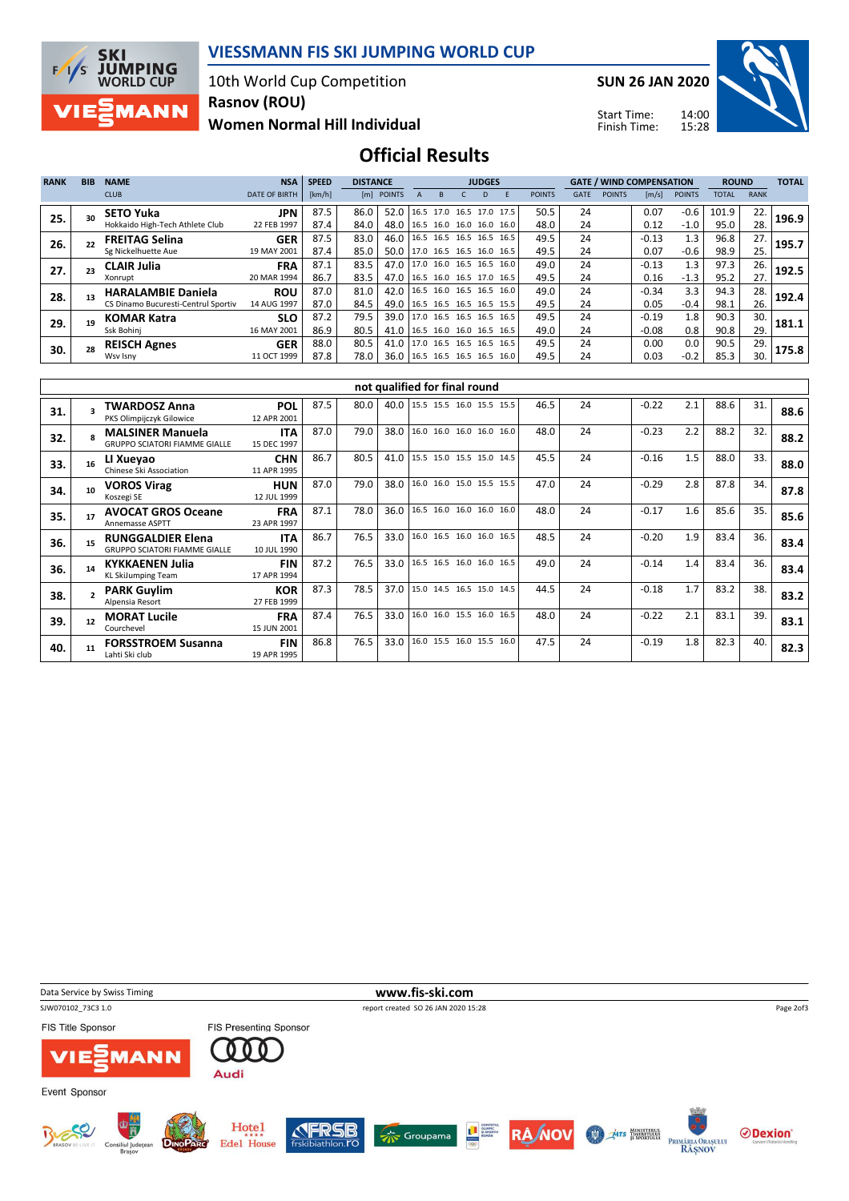

### VIESSMANN FIS SKI JUMPING WORLD CUP

10th World Cup Competition Rasnov (ROU)

Women Normal Hill Individual

SUN 26 JAN 2020



Start Time: Finish Time:

## Official Results

| <b>RANK</b> | <b>BIB</b> | <b>NAME</b>                         | <b>NSA</b>           | <b>SPEED</b> | <b>DISTANCE</b> |                                 | <b>JUDGES</b> |                          |  |    |  |               |             | <b>GATE / WIND COMPENSATION</b> |                       |               | <b>ROUND</b> |             | <b>TOTAL</b> |
|-------------|------------|-------------------------------------|----------------------|--------------|-----------------|---------------------------------|---------------|--------------------------|--|----|--|---------------|-------------|---------------------------------|-----------------------|---------------|--------------|-------------|--------------|
|             |            | <b>CLUB</b>                         | <b>DATE OF BIRTH</b> | [km/h]       |                 | [m] POINTS                      |               |                          |  | D. |  | <b>POINTS</b> | <b>GATE</b> | <b>POINTS</b>                   | $\lfloor m/s \rfloor$ | <b>POINTS</b> | <b>TOTAL</b> | <b>RANK</b> |              |
| 25.         |            | <b>SETO Yuka</b>                    | <b>JPN</b>           | 87.5         | 86.0            | 52.0   16.5 17.0 16.5 17.0 17.5 |               |                          |  |    |  | 50.5          | 24          |                                 | 0.07                  | $-0.6$        | 101.9        | 22.         | 196.9        |
|             |            | Hokkaido High-Tech Athlete Club     | 22 FEB 1997          | 87.4         | 84.0            | 48.0   16.5 16.0 16.0 16.0 16.0 |               |                          |  |    |  | 48.0          | 24          |                                 | 0.12                  | $-1.0$        | 95.0         | 28.         |              |
| 26.         |            | <b>FREITAG Selina</b>               | <b>GER</b>           | 87.5         | 83.0            | 46.0   16.5 16.5 16.5 16.5 16.5 |               |                          |  |    |  | 49.5          | 24          |                                 | $-0.13$               | 1.3           | 96.8         | 27.         | 195.7        |
|             |            | Sg Nickelhuette Aue                 | 19 MAY 2001          | 87.4         | 85.0            | 50.0                            |               | 17.0 16.5 16.5 16.0 16.5 |  |    |  | 49.5          | 24          |                                 | 0.07                  | $-0.6$        | 98.9         | 25.         |              |
| 27.         |            | <b>CLAIR Julia</b>                  | <b>FRA</b>           | 87.1         | 83.5            | 47.0 17.0 16.0 16.5 16.5 16.0   |               |                          |  |    |  | 49.0          | 24          |                                 | $-0.13$               | 1.3           | 97.3         | 26.         | 192.5        |
|             |            | Xonrupt                             | 20 MAR 1994          | 86.7         | 83.5            | 47.0 16.5 16.0 16.5 17.0 16.5   |               |                          |  |    |  | 49.5          | 24          |                                 | 0.16                  | $-1.3$        | 95.2         | 27.         |              |
| 28.         |            | <b>HARALAMBIE Daniela</b>           | <b>ROU</b>           | 87.0         | 81.0            | 42.0   16.5 16.0 16.5 16.5 16.0 |               |                          |  |    |  | 49.0          | 24          |                                 | $-0.34$               | 3.3           | 94.3         | 28.         | 192.4        |
|             |            | CS Dinamo Bucuresti-Centrul Sportiv | 14 AUG 1997          | 87.0         | 84.5            | 49.0 16.5 16.5 16.5 16.5 15.5   |               |                          |  |    |  | 49.5          | 24          |                                 | 0.05                  | $-0.4$        | 98.1         | 26.         |              |
| 29.         |            | <b>KOMAR Katra</b>                  | <b>SLO</b>           | 87.2         | 79.5            | 39.0   17.0 16.5 16.5 16.5 16.5 |               |                          |  |    |  | 49.5          | 24          |                                 | $-0.19$               | 1.8           | 90.3         | 30.         | 181.1        |
|             |            | Ssk Bohini                          | 16 MAY 2001          | 86.9         | 80.5            | 41.0   16.5 16.0 16.0 16.5 16.5 |               |                          |  |    |  | 49.0          | 24          |                                 | $-0.08$               | 0.8           | 90.8         | 29.         |              |
| 30.         |            | <b>REISCH Agnes</b>                 | <b>GER</b>           | 88.0         | 80.5            | 41.0   17.0 16.5 16.5 16.5 16.5 |               |                          |  |    |  | 49.5          | 24          |                                 | 0.00                  | 0.0           | 90.5         | 29.         | 175.8        |
|             |            | Wsv Isny                            | 11 OCT 1999          | 87.8         | 78.0            | 36.0 16.5 16.5 16.5 16.5 16.0   |               |                          |  |    |  | 49.5          | 24          |                                 | 0.03                  | $-0.2$        | 85.3         | 30.         |              |

|     | not qualified for final round |                                                                                               |                           |      |      |      |                          |  |  |      |    |         |     |      |     |      |
|-----|-------------------------------|-----------------------------------------------------------------------------------------------|---------------------------|------|------|------|--------------------------|--|--|------|----|---------|-----|------|-----|------|
| 31. |                               | <b>TWARDOSZ Anna</b><br>PKS Olimpijczyk Gilowice                                              | <b>POL</b><br>12 APR 2001 | 87.5 | 80.0 | 40.0 | 15.5 15.5 16.0 15.5 15.5 |  |  | 46.5 | 24 | $-0.22$ | 2.1 | 88.6 | 31. | 88.6 |
| 32. |                               | <b>MALSINER Manuela</b><br><b>GRUPPO SCIATORI FIAMME GIALLE</b>                               | <b>ITA</b><br>15 DEC 1997 | 87.0 | 79.0 | 38.0 | 16.0 16.0 16.0 16.0 16.0 |  |  | 48.0 | 24 | $-0.23$ | 2.2 | 88.2 | 32. | 88.2 |
| 33. |                               | LI Xueyao<br>Chinese Ski Association                                                          | <b>CHN</b><br>11 APR 1995 | 86.7 | 80.5 | 41.0 | 15.5 15.0 15.5 15.0 14.5 |  |  | 45.5 | 24 | $-0.16$ | 1.5 | 88.0 | 33. | 88.0 |
| 34. | 10                            | <b>VOROS Virag</b><br>Koszegi SE                                                              | <b>HUN</b><br>12 JUL 1999 | 87.0 | 79.0 | 38.0 | 16.0 16.0 15.0 15.5 15.5 |  |  | 47.0 | 24 | $-0.29$ | 2.8 | 87.8 | 34. | 87.8 |
| 35. |                               | <b>AVOCAT GROS Oceane</b><br><b>Annemasse ASPTT</b>                                           | <b>FRA</b><br>23 APR 1997 | 87.1 | 78.0 | 36.0 | 16.5 16.0 16.0 16.0 16.0 |  |  | 48.0 | 24 | $-0.17$ | 1.6 | 85.6 | 35. | 85.6 |
| 36. |                               | <b>ITA</b><br><b>RUNGGALDIER Elena</b><br><b>GRUPPO SCIATORI FIAMME GIALLE</b><br>10 JUL 1990 |                           | 86.7 | 76.5 | 33.0 | 16.0 16.5 16.0 16.0 16.5 |  |  | 48.5 | 24 | $-0.20$ | 1.9 | 83.4 | 36. | 83.4 |
| 36. | 14                            | <b>KYKKAENEN Julia</b><br><b>KL SkiJumping Team</b>                                           | <b>FIN</b><br>17 APR 1994 | 87.2 | 76.5 | 33.0 | 16.5 16.5 16.0 16.0 16.5 |  |  | 49.0 | 24 | $-0.14$ | 1.4 | 83.4 | 36. | 83.4 |
| 38. |                               | <b>PARK Guylim</b><br>Alpensia Resort                                                         | <b>KOR</b><br>27 FEB 1999 | 87.3 | 78.5 | 37.0 | 15.0 14.5 16.5 15.0 14.5 |  |  | 44.5 | 24 | $-0.18$ | 1.7 | 83.2 | 38. | 83.2 |
| 39. | 12                            | <b>MORAT Lucile</b><br>Courchevel                                                             | <b>FRA</b><br>15 JUN 2001 | 87.4 | 76.5 | 33.0 | 16.0 16.0 15.5 16.0 16.5 |  |  | 48.0 | 24 | $-0.22$ | 2.1 | 83.1 | 39. | 83.1 |
| 40. |                               | <b>FORSSTROEM Susanna</b><br>Lahti Ski club                                                   | <b>FIN</b><br>19 APR 1995 | 86.8 | 76.5 | 33.0 | 16.0 15.5 16.0 15.5 16.0 |  |  | 47.5 | 24 | $-0.19$ | 1.8 | 82.3 | 40. | 82.3 |